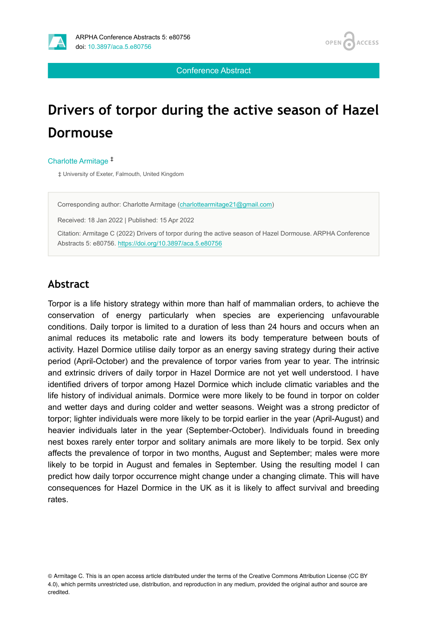

Conference Abstract

# **Drivers of torpor during the active season of Hazel Dormouse**

Charlotte Armitage ‡

‡ University of Exeter, Falmouth, United Kingdom

Corresponding author: Charlotte Armitage ([charlottearmitage21@gmail.com\)](mailto:charlottearmitage21@gmail.com)

Received: 18 Jan 2022 | Published: 15 Apr 2022

Citation: Armitage C (2022) Drivers of torpor during the active season of Hazel Dormouse. ARPHA Conference Abstracts 5: e80756.<https://doi.org/10.3897/aca.5.e80756>

#### **Abstract**

Torpor is a life history strategy within more than half of mammalian orders, to achieve the conservation of energy particularly when species are experiencing unfavourable conditions. Daily torpor is limited to a duration of less than 24 hours and occurs when an animal reduces its metabolic rate and lowers its body temperature between bouts of activity. Hazel Dormice utilise daily torpor as an energy saving strategy during their active period (April-October) and the prevalence of torpor varies from year to year. The intrinsic and extrinsic drivers of daily torpor in Hazel Dormice are not yet well understood. I have identified drivers of torpor among Hazel Dormice which include climatic variables and the life history of individual animals. Dormice were more likely to be found in torpor on colder and wetter days and during colder and wetter seasons. Weight was a strong predictor of torpor; lighter individuals were more likely to be torpid earlier in the year (April-August) and heavier individuals later in the year (September-October). Individuals found in breeding nest boxes rarely enter torpor and solitary animals are more likely to be torpid. Sex only affects the prevalence of torpor in two months, August and September; males were more likely to be torpid in August and females in September. Using the resulting model I can predict how daily torpor occurrence might change under a changing climate. This will have consequences for Hazel Dormice in the UK as it is likely to affect survival and breeding rates.

© Armitage C. This is an open access article distributed under the terms of the Creative Commons Attribution License (CC BY 4.0), which permits unrestricted use, distribution, and reproduction in any medium, provided the original author and source are credited.